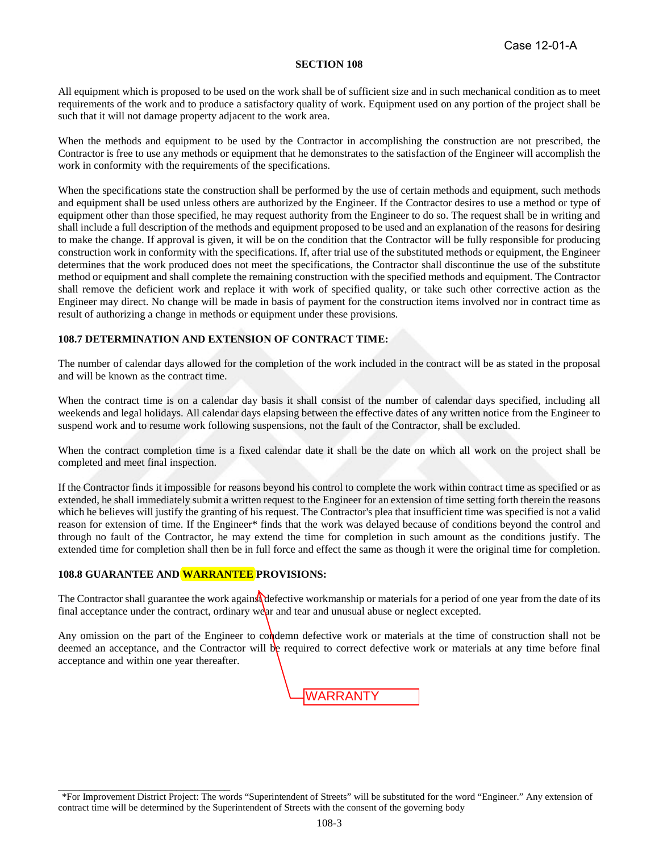All equipment which is proposed to be used on the work shall be of sufficient size and in such mechanical condition as to meet requirements of the work and to produce a satisfactory quality of work. Equipment used on any portion of the project shall be such that it will not damage property adjacent to the work area.

When the methods and equipment to be used by the Contractor in accomplishing the construction are not prescribed, the Contractor is free to use any methods or equipment that he demonstrates to the satisfaction of the Engineer will accomplish the work in conformity with the requirements of the specifications.

When the specifications state the construction shall be performed by the use of certain methods and equipment, such methods and equipment shall be used unless others are authorized by the Engineer. If the Contractor desires to use a method or type of equipment other than those specified, he may request authority from the Engineer to do so. The request shall be in writing and shall include a full description of the methods and equipment proposed to be used and an explanation of the reasons for desiring to make the change. If approval is given, it will be on the condition that the Contractor will be fully responsible for producing construction work in conformity with the specifications. If, after trial use of the substituted methods or equipment, the Engineer determines that the work produced does not meet the specifications, the Contractor shall discontinue the use of the substitute method or equipment and shall complete the remaining construction with the specified methods and equipment. The Contractor shall remove the deficient work and replace it with work of specified quality, or take such other corrective action as the Engineer may direct. No change will be made in basis of payment for the construction items involved nor in contract time as result of authorizing a change in methods or equipment under these provisions.

## **108.7 DETERMINATION AND EXTENSION OF CONTRACT TIME:**

The number of calendar days allowed for the completion of the work included in the contract will be as stated in the proposal and will be known as the contract time.

When the contract time is on a calendar day basis it shall consist of the number of calendar days specified, including all weekends and legal holidays. All calendar days elapsing between the effective dates of any written notice from the Engineer to suspend work and to resume work following suspensions, not the fault of the Contractor, shall be excluded.

When the contract completion time is a fixed calendar date it shall be the date on which all work on the project shall be completed and meet final inspection.

If the Contractor finds it impossible for reasons beyond his control to complete the work within contract time as specified or as extended, he shall immediately submit a written request to the Engineer for an extension of time setting forth therein the reasons which he believes will justify the granting of his request. The Contractor's plea that insufficient time was specified is not a valid reason for extension of time. If the Engineer\* finds that the work was delayed because of conditions beyond the control and through no fault of the Contractor, he may extend the time for completion in such amount as the conditions justify. The extended time for completion shall then be in full force and effect the same as though it were the original time for completion.

## **108.8 GUARANTEE AND WARRANTEE PROVISIONS:**

The Contractor shall guarantee the work agains defective workmanship or materials for a period of one year from the date of its final acceptance under the contract, ordinary wear and tear and unusual abuse or neglect excepted.

Any omission on the part of the Engineer to condemn defective work or materials at the time of construction shall not be deemed an acceptance, and the Contractor will be required to correct defective work or materials at any time before final acceptance and within one year thereafter.



<sup>\*</sup>For Improvement District Project: The words "Superintendent of Streets" will be substituted for the word "Engineer." Any extension of contract time will be determined by the Superintendent of Streets with the consent of the governing body \_\_\_\_\_\_\_\_\_\_\_\_\_\_\_\_\_\_\_\_\_\_\_\_\_\_\_\_\_\_\_\_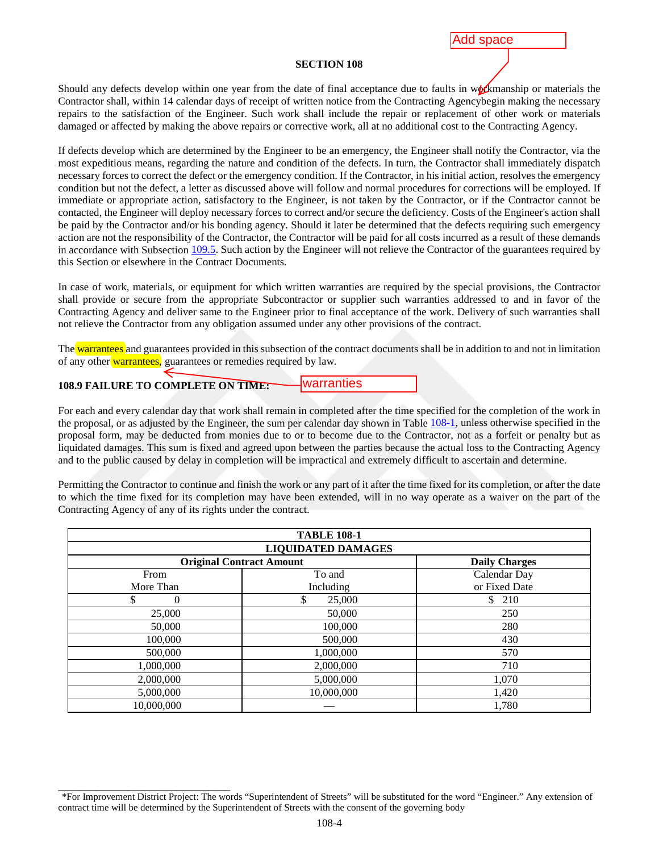## Add space

## **SECTION 108**

Should any defects develop within one year from the date of final acceptance due to faults in workmanship or materials the Contractor shall, within 14 calendar days of receipt of written notice from the Contracting Agencybegin making the necessary repairs to the satisfaction of the Engineer. Such work shall include the repair or replacement of other work or materials damaged or affected by making the above repairs or corrective work, all at no additional cost to the Contracting Agency.

If defects develop which are determined by the Engineer to be an emergency, the Engineer shall notify the Contractor, via the most expeditious means, regarding the nature and condition of the defects. In turn, the Contractor shall immediately dispatch necessary forces to correct the defect or the emergency condition. If the Contractor, in his initial action, resolves the emergency condition but not the defect, a letter as discussed above will follow and normal procedures for corrections will be employed. If immediate or appropriate action, satisfactory to the Engineer, is not taken by the Contractor, or if the Contractor cannot be contacted, the Engineer will deploy necessary forces to correct and/or secure the deficiency. Costs of the Engineer's action shall be paid by the Contractor and/or his bonding agency. Should it later be determined that the defects requiring such emergency action are not the responsibility of the Contractor, the Contractor will be paid for all costs incurred as a result of these demands in accordance with Subsection 109.5. Such action by the Engineer will not relieve the Contractor of the guarantees required by this Section or elsewhere in the Contract Documents.

In case of work, materials, or equipment for which written warranties are required by the special provisions, the Contractor shall provide or secure from the appropriate Subcontractor or supplier such warranties addressed to and in favor of the Contracting Agency and deliver same to the Engineer prior to final acceptance of the work. Delivery of such warranties shall not relieve the Contractor from any obligation assumed under any other provisions of the contract.

The warrantees and guarantees provided in this subsection of the contract documents shall be in addition to and not in limitation of any other warrantees, guarantees or remedies required by law.

**108.9 FAILURE TO COMPLETE ON TIME:**

warranties

For each and every calendar day that work shall remain in completed after the time specified for the completion of the work in the proposal, or as adjusted by the Engineer, the sum per calendar day shown in Table [108-1,](#page-1-0) unless otherwise specified in the proposal form, may be deducted from monies due to or to become due to the Contractor, not as a forfeit or penalty but as liquidated damages. This sum is fixed and agreed upon between the parties because the actual loss to the Contracting Agency and to the public caused by delay in completion will be impractical and extremely difficult to ascertain and determine.

Permitting the Contractor to continue and finish the work or any part of it after the time fixed for its completion, or after the date to which the time fixed for its completion may have been extended, will in no way operate as a waiver on the part of the Contracting Agency of any of its rights under the contract.

<span id="page-1-0"></span>

| <b>TABLE 108-1</b><br><b>LIQUIDATED DAMAGES</b> |              |               |  |
|-------------------------------------------------|--------------|---------------|--|
|                                                 |              |               |  |
| From                                            | To and       | Calendar Day  |  |
| More Than                                       | Including    | or Fixed Date |  |
| $\theta$<br>Ф                                   | \$<br>25,000 | \$<br>210     |  |
| 25,000                                          | 50,000       | 250           |  |
| 50,000                                          | 100,000      | 280           |  |
| 100,000                                         | 500,000      | 430           |  |
| 500,000                                         | 1,000,000    | 570           |  |
| 1,000,000                                       | 2,000,000    | 710           |  |
| 2,000,000                                       | 5,000,000    | 1,070         |  |
| 5,000,000                                       | 10,000,000   | 1,420         |  |
| 10,000,000                                      |              | 1,780         |  |

<sup>\*</sup>For Improvement District Project: The words "Superintendent of Streets" will be substituted for the word "Engineer." Any extension of contract time will be determined by the Superintendent of Streets with the consent of the governing body \_\_\_\_\_\_\_\_\_\_\_\_\_\_\_\_\_\_\_\_\_\_\_\_\_\_\_\_\_\_\_\_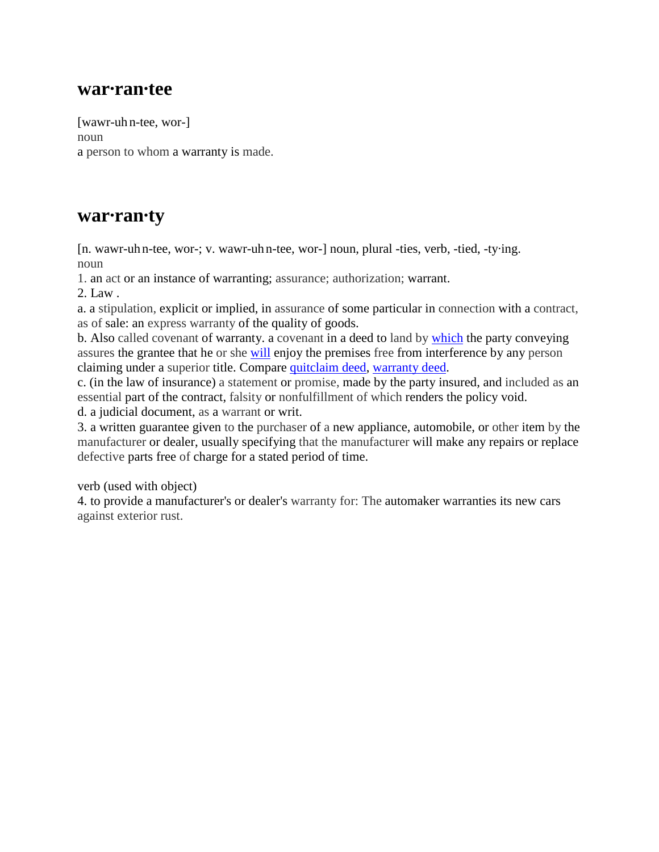## **war·ran·tee**

[wawr-uh n-tee, wor-] noun a person to whom a warranty is made.

# **war·ran·ty**

[n. wawr-uh n-tee, wor-; v. wawr-uh n-tee, wor-] noun, plural -ties, verb, -tied, -ty·ing. noun

1. an act or an instance of warranting; assurance; authorization; warrant.

2. Law .

a. a stipulation, explicit or implied, in assurance of some particular in connection with a contract, as of sale: an express warranty of the quality of goods.

b. Also called covenant of warranty. a covenant in a deed to land by [which](http://dictionary.reference.com/browse/which) the party conveying assures the grantee that he or she [will](http://dictionary.reference.com/browse/will) enjoy the premises free from interference by any person claiming under a superior title. Compare [quitclaim deed,](http://dictionary.reference.com/browse/quitclaim+deed) [warranty deed.](http://dictionary.reference.com/browse/warranty+deed)

c. (in the law of insurance) a statement or promise, made by the party insured, and included as an essential part of the contract, falsity or nonfulfillment of which renders the policy void. d. a judicial document, as a warrant or writ.

3. a written guarantee given to the purchaser of a new appliance, automobile, or other item by the manufacturer or dealer, usually specifying that the manufacturer will make any repairs or replace defective parts free of charge for a stated period of time.

verb (used with object)

4. to provide a manufacturer's or dealer's warranty for: The automaker warranties its new cars against exterior rust.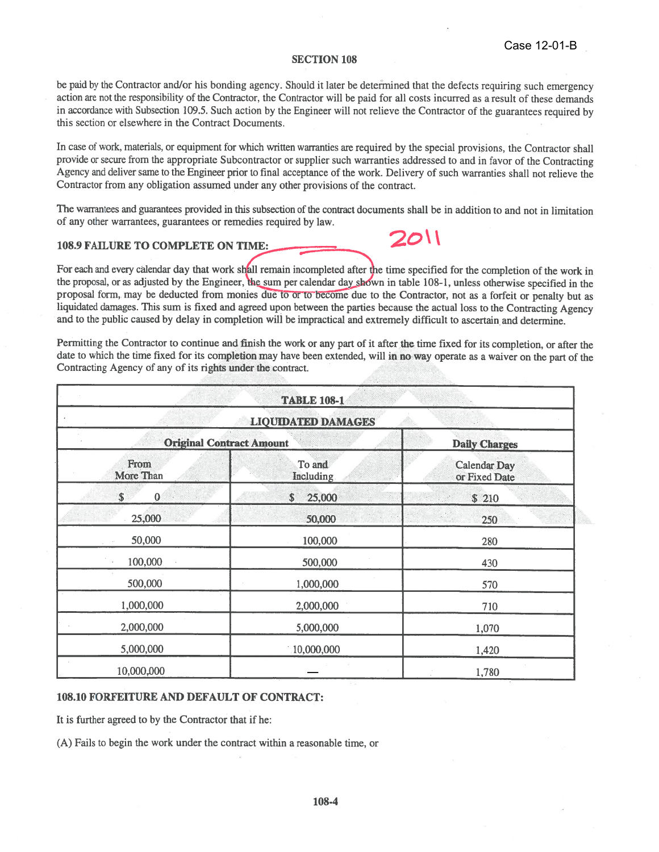be paid by the Contractor and/or his bonding agency. Should it later be determined that the defects requiring such emergency action are not the responsibility of the Contractor, the Contractor will be paid for all costs incurred as a result of these demands in accordance with Subsection 109.5. Such action by the Engineer will not relieve the Contractor of the guarantees required by this section or elsewhere in the Contract Documents.

In case of work, materials, or equipment for which written warranties are required by the special provisions, the Contractor shall provide or secure from the appropriate Subcontractor or supplier such warranties addressed to and in favor of the Contracting Agency and deliver same to the Engineer prior to final acceptance of the work. Delivery of such warranties shall not relieve the Contractor from any obligation assumed under any other provisions of the contract.

The warrantees and guarantees provided in this subsection of the contract documents shall be in addition to and not in limitation of any other warrantees, guarantees or remedies required by law.

2011

## **108.9 FAILURE TO COMPLETE ON TIME:**

For each and every calendar day that work shall remain incompleted after the time specified for the completion of the work in the proposal, or as adjusted by the Engineer, the sum per calendar day shown in table 108-1, unless otherwise specified in the proposal form, may be deducted from monies due to or to become due to the Contractor, not as a forfeit or penalty but as liquidated damages. This sum is fixed and agreed upon between the parties because the actual loss to the Contracting Agency and to the public caused by delay in completion will be impractical and extremely difficult to ascertain and determine.

Permitting the Contractor to continue and finish the work or any part of it after the time fixed for its completion, or after the date to which the time fixed for its completion may have been extended, will in no way operate as a waiver on the part of the Contracting Agency of any of its rights under the contract.

| <b>TABLE 108-1</b>              |                     |                                      |  |  |
|---------------------------------|---------------------|--------------------------------------|--|--|
| <b>LIQUIDATED DAMAGES</b>       |                     |                                      |  |  |
| <b>Original Contract Amount</b> |                     | <b>Daily Charges</b>                 |  |  |
| From<br>More Than               | To and<br>Including | <b>Calendar Day</b><br>or Fixed Date |  |  |
| \$<br>$\bf{0}$                  | \$<br>25,000        | \$ 210                               |  |  |
| 25,000                          | 50,000              | 250                                  |  |  |
| 50,000                          | 100,000             | 280                                  |  |  |
| 100,000                         | 500,000             | 430                                  |  |  |
| 500,000                         | 1,000,000           | 570                                  |  |  |
| 1,000,000                       | 2,000,000           | 710                                  |  |  |
| 2,000,000                       | 5,000,000           | 1,070                                |  |  |
| 5,000,000                       | 10,000,000          | 1,420                                |  |  |
| 10,000,000                      |                     | 1,780                                |  |  |

## **108.10 FORFEITURE AND DEFAULT OF CONTRACT:**

It is further agreed to by the Contractor that if he:

(A) Fails to begin the work under the contract within a reasonable time, or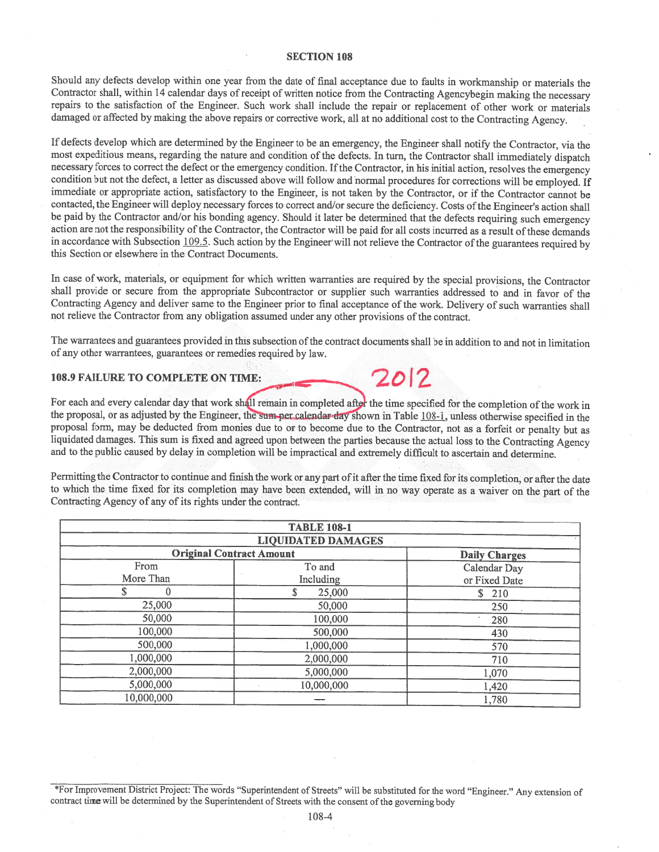Should any defects develop within one year from the date of final acceptance due to faults in workmanship or materials the Contractor shall, within 14 calendar days of receipt of written notice from the Contracting Agencybegin making the necessary repairs to the satisfaction of the Engineer. Such work shall include the repair or replacement of other work or materials damaged or affected by making the above repairs or corrective work, all at no additional cost to the Contracting Agency.

If defects develop which are determined by the Engineer to be an emergency, the Engineer shall notify the Contractor, via the most expeditious means, regarding the nature and condition of the defects. In turn, the Contractor shall immediately dispatch necessary forces to correct the defect or the emergency condition. If the Contractor, in his initial action, resolves the emergency condition but not the defect, a letter as discussed above will follow and normal procedures for corrections will be employed. If immediate or appropriate action, satisfactory to the Engineer, is not taken by the Contractor, or if the Contractor cannot be contacted, the Engineer will deploy necessary forces to correct and/or secure the deficiency. Costs of the Engineer's action shall be paid by the Contractor and/or his bonding agency. Should it later be determined that the defects requiring such emergency action are not the responsibility of the Contractor, the Contractor will be paid for all costs incurred as a result of these demands in accordance with Subsection 109.5. Such action by the Engineer will not relieve the Contractor of the guarantees required by this Section or elsewhere in the Contract Documents.

In case of work, materials, or equipment for which written warranties are required by the special provisions, the Contractor shall provide or secure from the appropriate Subcontractor or supplier such warranties addressed to and in favor of the Contracting Agency and deliver same to the Engineer prior to final acceptance of the work. Delivery of such warranties shall not relieve the Contractor from any obligation assumed under any other provisions of the contract.

The warrantees and guarantees provided in this subsection of the contract documents shall be in addition to and not in limitation of any other warrantees, guarantees or remedies required by law.

 $2012$ 

#### 108.9 FAILURE TO COMPLETE ON TIME:

For each and every calendar day that work shall remain in completed after the time specified for the completion of the work in the proposal, or as adjusted by the Engineer, the sum per calendar day shown in Table 108-1, unless otherwise specified in the proposal form, may be deducted from monies due to or to become due to the Contractor, not as a forfeit or penalty but as liquidated damages. This sum is fixed and agreed upon between the parties because the actual loss to the Contracting Agency and to the public caused by delay in completion will be impractical and extremely difficult to ascertain and determine.

Permitting the Contractor to continue and finish the work or any part of it after the time fixed for its completion, or after the date to which the time fixed for its completion may have been extended, will in no way operate as a waiver on the part of the Contracting Agency of any of its rights under the contract.

| <b>TABLE 108-1</b><br><b>LIQUIDATED DAMAGES</b> |            |               |  |  |
|-------------------------------------------------|------------|---------------|--|--|
|                                                 |            |               |  |  |
| From                                            | To and     | Calendar Day  |  |  |
| More Than                                       | Including  | or Fixed Date |  |  |
|                                                 | 25,000     | \$210         |  |  |
| 25,000                                          | 50,000     | 250           |  |  |
| 50,000                                          | 100,000    | 280           |  |  |
| 100,000                                         | 500,000    | 430           |  |  |
| 500,000                                         | 1,000,000  | 570           |  |  |
| 1,000,000                                       | 2,000,000  | 710           |  |  |
| 2,000,000                                       | 5,000,000  | 1,070         |  |  |
| 5,000,000                                       | 10,000,000 | 1,420         |  |  |
| 10,000,000                                      |            | 1,780         |  |  |

\*For Improvement District Project: The words "Superintendent of Streets" will be substituted for the word "Engineer." Any extension of contract time will be determined by the Superintendent of Streets with the consent of the governing body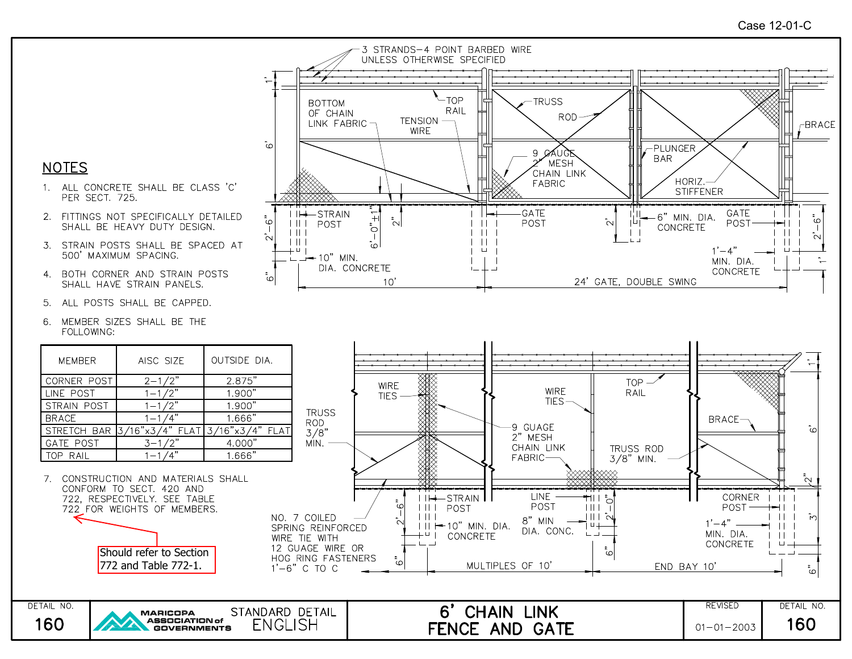